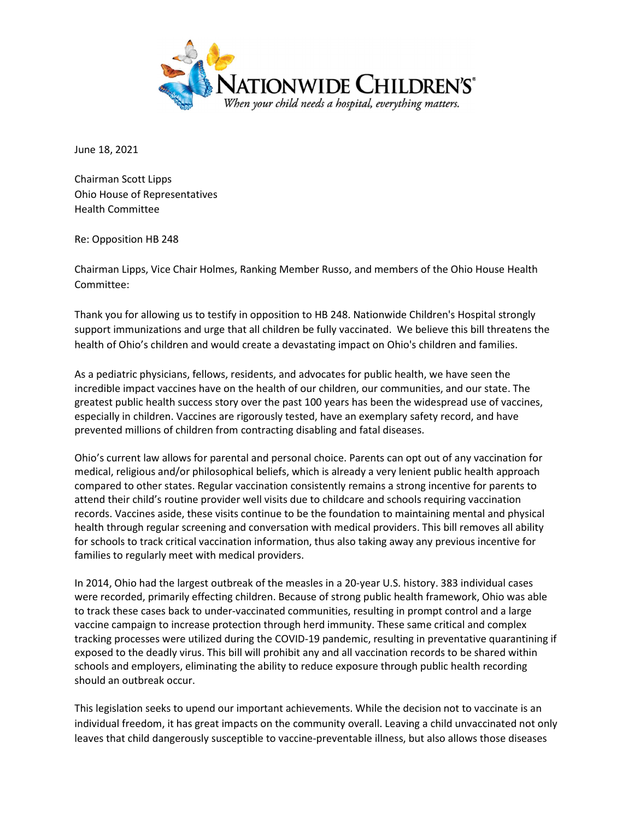

June 18, 2021

Chairman Scott Lipps Ohio House of Representatives Health Committee

Re: Opposition HB 248

Chairman Lipps, Vice Chair Holmes, Ranking Member Russo, and members of the Ohio House Health Committee:

Thank you for allowing us to testify in opposition to HB 248. Nationwide Children's Hospital strongly support immunizations and urge that all children be fully vaccinated. We believe this bill threatens the health of Ohio's children and would create a devastating impact on Ohio's children and families.

As a pediatric physicians, fellows, residents, and advocates for public health, we have seen the incredible impact vaccines have on the health of our children, our communities, and our state. The greatest public health success story over the past 100 years has been the widespread use of vaccines, especially in children. Vaccines are rigorously tested, have an exemplary safety record, and have prevented millions of children from contracting disabling and fatal diseases.

Ohio's current law allows for parental and personal choice. Parents can opt out of any vaccination for medical, religious and/or philosophical beliefs, which is already a very lenient public health approach compared to other states. Regular vaccination consistently remains a strong incentive for parents to attend their child's routine provider well visits due to childcare and schools requiring vaccination records. Vaccines aside, these visits continue to be the foundation to maintaining mental and physical health through regular screening and conversation with medical providers. This bill removes all ability for schools to track critical vaccination information, thus also taking away any previous incentive for families to regularly meet with medical providers.

In 2014, Ohio had the largest outbreak of the measles in a 20-year U.S. history. 383 individual cases were recorded, primarily effecting children. Because of strong public health framework, Ohio was able to track these cases back to under-vaccinated communities, resulting in prompt control and a large vaccine campaign to increase protection through herd immunity. These same critical and complex tracking processes were utilized during the COVID-19 pandemic, resulting in preventative quarantining if exposed to the deadly virus. This bill will prohibit any and all vaccination records to be shared within schools and employers, eliminating the ability to reduce exposure through public health recording should an outbreak occur.

This legislation seeks to upend our important achievements. While the decision not to vaccinate is an individual freedom, it has great impacts on the community overall. Leaving a child unvaccinated not only leaves that child dangerously susceptible to vaccine-preventable illness, but also allows those diseases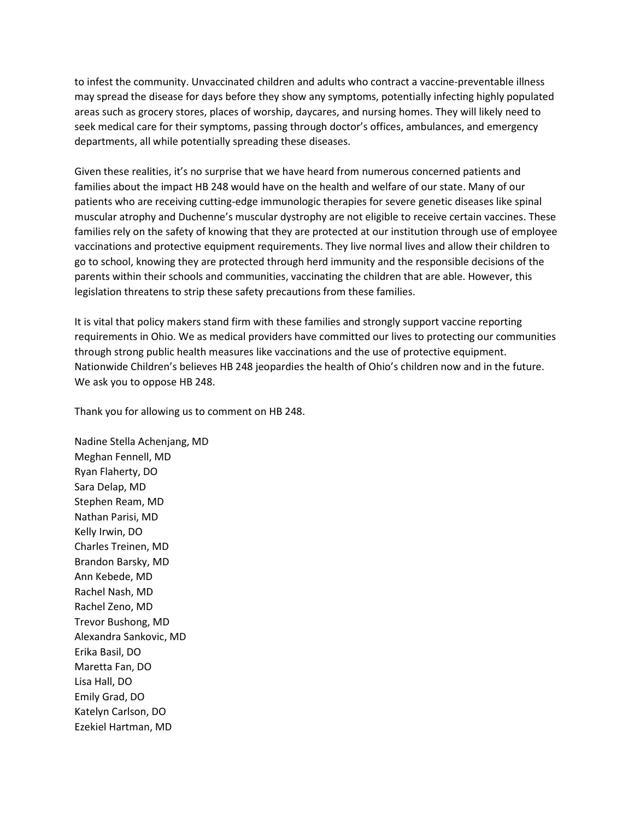to infest the community. Unvaccinated children and adults who contract a vaccine-preventable illness may spread the disease for days before they show any symptoms, potentially infecting highly populated areas such as grocery stores, places of worship, daycares, and nursing homes. They will likely need to seek medical care for their symptoms, passing through doctor's offices, ambulances, and emergency departments, all while potentially spreading these diseases.

Given these realities, it's no surprise that we have heard from numerous concerned patients and families about the impact HB 248 would have on the health and welfare of our state. Many of our patients who are receiving cutting-edge immunologic therapies for severe genetic diseases like spinal muscular atrophy and Duchenne's muscular dystrophy are not eligible to receive certain vaccines. These families rely on the safety of knowing that they are protected at our institution through use of employee vaccinations and protective equipment requirements. They live normal lives and allow their children to go to school, knowing they are protected through herd immunity and the responsible decisions of the parents within their schools and communities, vaccinating the children that are able. However, this legislation threatens to strip these safety precautions from these families.

It is vital that policy makers stand firm with these families and strongly support vaccine reporting requirements in Ohio. We as medical providers have committed our lives to protecting our communities through strong public health measures like vaccinations and the use of protective equipment. Nationwide Children's believes HB 248 jeopardies the health of Ohio's children now and in the future. We ask you to oppose HB 248.

Thank you for allowing us to comment on HB 248.

Nadine Stella Achenjang, MD Meghan Fennell, MD Ryan Flaherty, DO Sara Delap, MD Stephen Ream, MD Nathan Parisi, MD Kelly Irwin, DO Charles Treinen, MD Brandon Barsky, MD Ann Kebede, MD Rachel Nash, MD Rachel Zeno, MD Trevor Bushong, MD Alexandra Sankovic, MD Erika Basil, DO Maretta Fan, DO Lisa Hall, DO Emily Grad, DO Katelyn Carlson, DO Ezekiel Hartman, MD